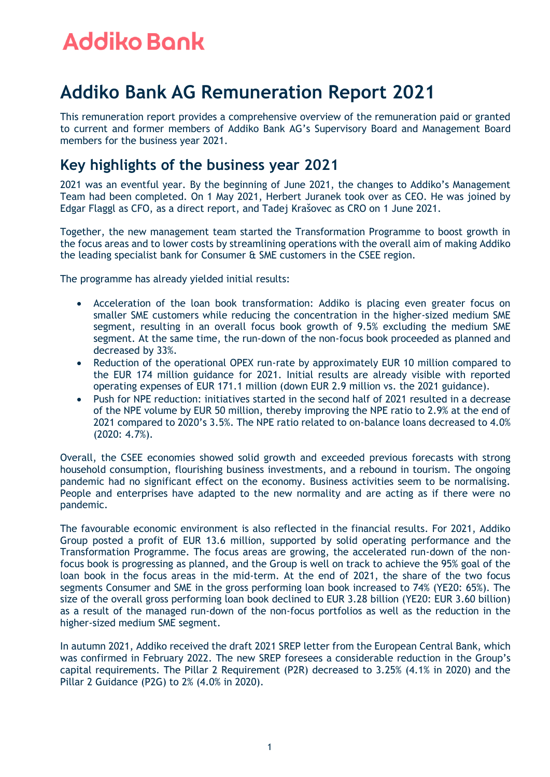### **Addiko Bank AG Remuneration Report 2021**

This remuneration report provides a comprehensive overview of the remuneration paid or granted to current and former members of Addiko Bank AG's Supervisory Board and Management Board members for the business year 2021.

### **Key highlights of the business year 2021**

2021 was an eventful year. By the beginning of June 2021, the changes to Addiko's Management Team had been completed. On 1 May 2021, Herbert Juranek took over as CEO. He was joined by Edgar Flaggl as CFO, as a direct report, and Tadej Krašovec as CRO on 1 June 2021.

Together, the new management team started the Transformation Programme to boost growth in the focus areas and to lower costs by streamlining operations with the overall aim of making Addiko the leading specialist bank for Consumer & SME customers in the CSEE region.

The programme has already yielded initial results:

- Acceleration of the loan book transformation: Addiko is placing even greater focus on smaller SME customers while reducing the concentration in the higher-sized medium SME segment, resulting in an overall focus book growth of 9.5% excluding the medium SME segment. At the same time, the run-down of the non-focus book proceeded as planned and decreased by 33%.
- Reduction of the operational OPEX run-rate by approximately EUR 10 million compared to the EUR 174 million guidance for 2021. Initial results are already visible with reported operating expenses of EUR 171.1 million (down EUR 2.9 million vs. the 2021 guidance).
- Push for NPE reduction: initiatives started in the second half of 2021 resulted in a decrease of the NPE volume by EUR 50 million, thereby improving the NPE ratio to 2.9% at the end of 2021 compared to 2020's 3.5%. The NPE ratio related to on-balance loans decreased to 4.0% (2020: 4.7%).

Overall, the CSEE economies showed solid growth and exceeded previous forecasts with strong household consumption, flourishing business investments, and a rebound in tourism. The ongoing pandemic had no significant effect on the economy. Business activities seem to be normalising. People and enterprises have adapted to the new normality and are acting as if there were no pandemic.

The favourable economic environment is also reflected in the financial results. For 2021, Addiko Group posted a profit of EUR 13.6 million, supported by solid operating performance and the Transformation Programme. The focus areas are growing, the accelerated run-down of the nonfocus book is progressing as planned, and the Group is well on track to achieve the 95% goal of the loan book in the focus areas in the mid-term. At the end of 2021, the share of the two focus segments Consumer and SME in the gross performing loan book increased to 74% (YE20: 65%). The size of the overall gross performing loan book declined to EUR 3.28 billion (YE20: EUR 3.60 billion) as a result of the managed run-down of the non-focus portfolios as well as the reduction in the higher-sized medium SME segment.

In autumn 2021, Addiko received the draft 2021 SREP letter from the European Central Bank, which was confirmed in February 2022. The new SREP foresees a considerable reduction in the Group's capital requirements. The Pillar 2 Requirement (P2R) decreased to 3.25% (4.1% in 2020) and the Pillar 2 Guidance (P2G) to 2% (4.0% in 2020).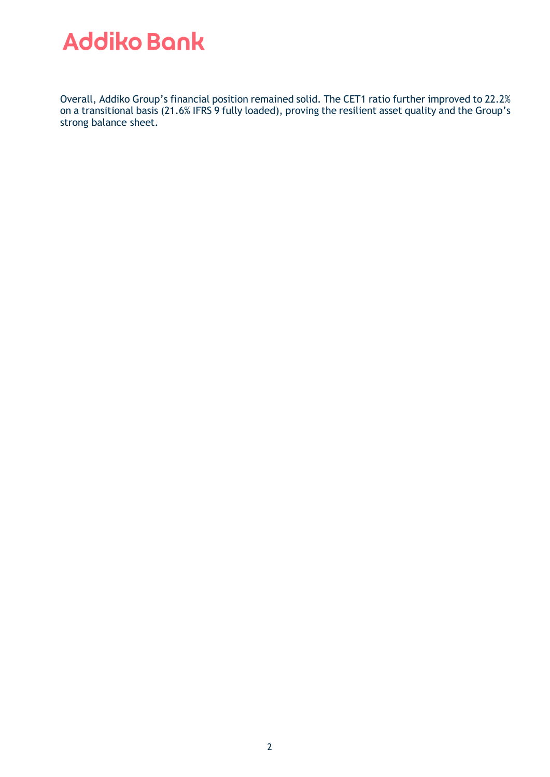Overall, Addiko Group's financial position remained solid. The CET1 ratio further improved to 22.2% on a transitional basis (21.6% IFRS 9 fully loaded), proving the resilient asset quality and the Group's strong balance sheet.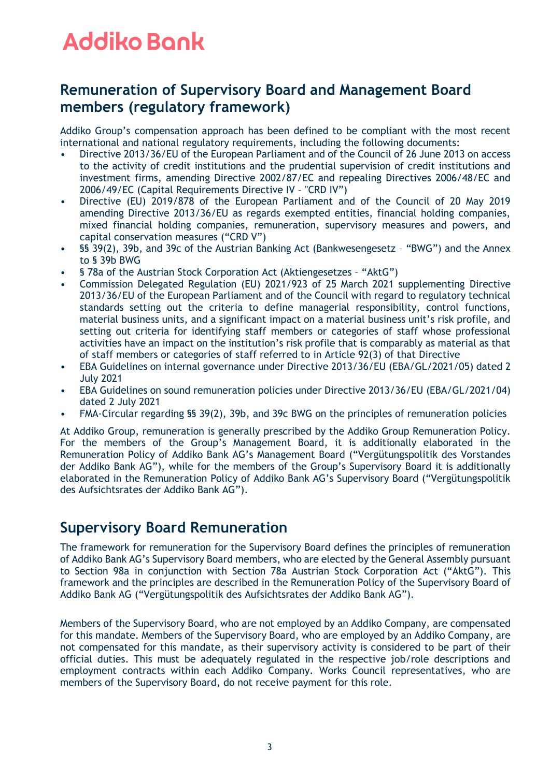### **Remuneration of Supervisory Board and Management Board members (regulatory framework)**

Addiko Group's compensation approach has been defined to be compliant with the most recent international and national regulatory requirements, including the following documents:

- Directive 2013/36/EU of the European Parliament and of the Council of 26 June 2013 on access to the activity of credit institutions and the prudential supervision of credit institutions and investment firms, amending Directive 2002/87/EC and repealing Directives 2006/48/EC and 2006/49/EC (Capital Requirements Directive IV – "CRD IV")
- Directive (EU) 2019/878 of the European Parliament and of the Council of 20 May 2019 amending Directive 2013/36/EU as regards exempted entities, financial holding companies, mixed financial holding companies, remuneration, supervisory measures and powers, and capital conservation measures ("CRD V")
- §§ 39(2), 39b, and 39c of the Austrian Banking Act (Bankwesengesetz "BWG") and the Annex to § 39b BWG
- § 78a of the Austrian Stock Corporation Act (Aktiengesetzes "AktG")
- Commission Delegated Regulation (EU) 2021/923 of 25 March 2021 supplementing Directive 2013/36/EU of the European Parliament and of the Council with regard to regulatory technical standards setting out the criteria to define managerial responsibility, control functions, material business units, and a significant impact on a material business unit's risk profile, and setting out criteria for identifying staff members or categories of staff whose professional activities have an impact on the institution's risk profile that is comparably as material as that of staff members or categories of staff referred to in Article 92(3) of that Directive
- EBA Guidelines on internal governance under Directive 2013/36/EU (EBA/GL/2021/05) dated 2 July 2021
- EBA Guidelines on sound remuneration policies under Directive 2013/36/EU (EBA/GL/2021/04) dated 2 July 2021
- FMA-Circular regarding §§ 39(2), 39b, and 39c BWG on the principles of remuneration policies

At Addiko Group, remuneration is generally prescribed by the Addiko Group Remuneration Policy. For the members of the Group's Management Board, it is additionally elaborated in the Remuneration Policy of Addiko Bank AG's Management Board ("Vergütungspolitik des Vorstandes der Addiko Bank AG"), while for the members of the Group's Supervisory Board it is additionally elaborated in the Remuneration Policy of Addiko Bank AG's Supervisory Board ("Vergütungspolitik des Aufsichtsrates der Addiko Bank AG").

### **Supervisory Board Remuneration**

The framework for remuneration for the Supervisory Board defines the principles of remuneration of Addiko Bank AG's Supervisory Board members, who are elected by the General Assembly pursuant to Section 98a in conjunction with Section 78a Austrian Stock Corporation Act ("AktG"). This framework and the principles are described in the Remuneration Policy of the Supervisory Board of Addiko Bank AG ("Vergütungspolitik des Aufsichtsrates der Addiko Bank AG").

Members of the Supervisory Board, who are not employed by an Addiko Company, are compensated for this mandate. Members of the Supervisory Board, who are employed by an Addiko Company, are not compensated for this mandate, as their supervisory activity is considered to be part of their official duties. This must be adequately regulated in the respective job/role descriptions and employment contracts within each Addiko Company. Works Council representatives, who are members of the Supervisory Board, do not receive payment for this role.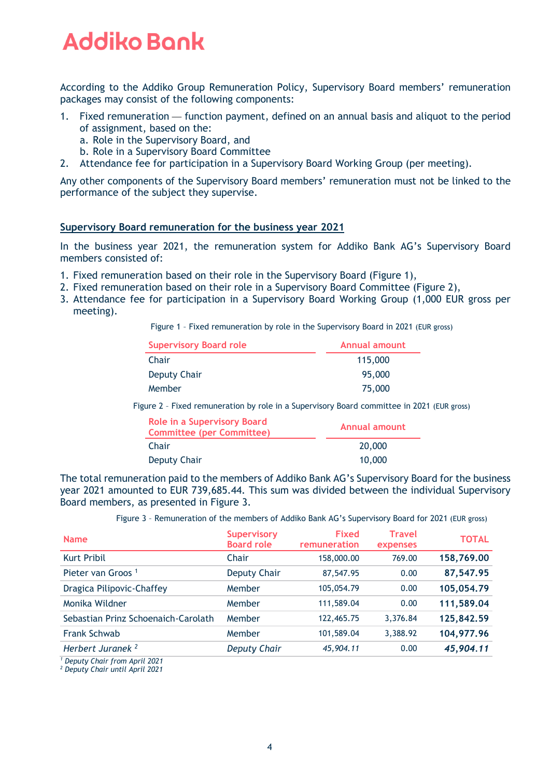According to the Addiko Group Remuneration Policy, Supervisory Board members' remuneration packages may consist of the following components:

- 1. Fixed remuneration function payment, defined on an annual basis and aliquot to the period of assignment, based on the:
	- a. Role in the Supervisory Board, and
	- b. Role in a Supervisory Board Committee
- 2. Attendance fee for participation in a Supervisory Board Working Group (per meeting).

Any other components of the Supervisory Board members' remuneration must not be linked to the performance of the subject they supervise.

#### **Supervisory Board remuneration for the business year 2021**

In the business year 2021, the remuneration system for Addiko Bank AG's Supervisory Board members consisted of:

- 1. Fixed remuneration based on their role in the Supervisory Board (Figure 1),
- 2. Fixed remuneration based on their role in a Supervisory Board Committee (Figure 2),
- 3. Attendance fee for participation in a Supervisory Board Working Group (1,000 EUR gross per meeting).

Figure 1 – Fixed remuneration by role in the Supervisory Board in 2021 (EUR gross)

| <b>Supervisory Board role</b> | Annual amount |
|-------------------------------|---------------|
| Chair                         | 115,000       |
| Deputy Chair                  | 95,000        |
| Member                        | 75,000        |

Figure 2 – Fixed remuneration by role in a Supervisory Board committee in 2021 (EUR gross)

| Role in a Supervisory Board<br><b>Committee (per Committee)</b> | Annual amount |
|-----------------------------------------------------------------|---------------|
| Chair                                                           | 20,000        |
| Deputy Chair                                                    | 10,000        |

The total remuneration paid to the members of Addiko Bank AG's Supervisory Board for the business year 2021 amounted to EUR 739,685.44. This sum was divided between the individual Supervisory Board members, as presented in Figure 3.

Figure 3 – Remuneration of the members of Addiko Bank AG's Supervisory Board for 2021 (EUR gross)

| <b>Name</b>                                                                                                                                                                                                                                                                                                                      | <b>Supervisory</b><br><b>Board role</b> | <b>Fixed</b><br>remuneration | <b>Travel</b><br>expenses | <b>TOTAL</b> |
|----------------------------------------------------------------------------------------------------------------------------------------------------------------------------------------------------------------------------------------------------------------------------------------------------------------------------------|-----------------------------------------|------------------------------|---------------------------|--------------|
| <b>Kurt Pribil</b>                                                                                                                                                                                                                                                                                                               | Chair                                   | 158,000.00                   | 769.00                    | 158,769.00   |
| Pieter van Groos <sup>1</sup>                                                                                                                                                                                                                                                                                                    | Deputy Chair                            | 87,547.95                    | 0.00                      | 87,547.95    |
| Dragica Pilipovic-Chaffey                                                                                                                                                                                                                                                                                                        | Member                                  | 105,054.79                   | 0.00                      | 105,054.79   |
| Monika Wildner                                                                                                                                                                                                                                                                                                                   | Member                                  | 111,589.04                   | 0.00                      | 111,589.04   |
| Sebastian Prinz Schoenaich-Carolath                                                                                                                                                                                                                                                                                              | Member                                  | 122,465.75                   | 3,376.84                  | 125,842.59   |
| <b>Frank Schwab</b>                                                                                                                                                                                                                                                                                                              | Member                                  | 101,589.04                   | 3,388.92                  | 104,977.96   |
| Herbert Juranek <sup>2</sup><br>$\mathbf{1}$ and $\mathbf{2}$ and $\mathbf{3}$ and $\mathbf{4}$ and $\mathbf{5}$ and $\mathbf{6}$ and $\mathbf{7}$ and $\mathbf{8}$ and $\mathbf{1}$ and $\mathbf{1}$ and $\mathbf{1}$ and $\mathbf{1}$ and $\mathbf{1}$ and $\mathbf{1}$ and $\mathbf{1}$ and $\mathbf{1}$ and $\mathbf{1}$ and | <b>Deputy Chair</b>                     | 45,904.11                    | 0.00                      | 45,904.11    |

*<sup>1</sup> Deputy Chair from April 2021*

*<sup>2</sup> Deputy Chair until April 2021*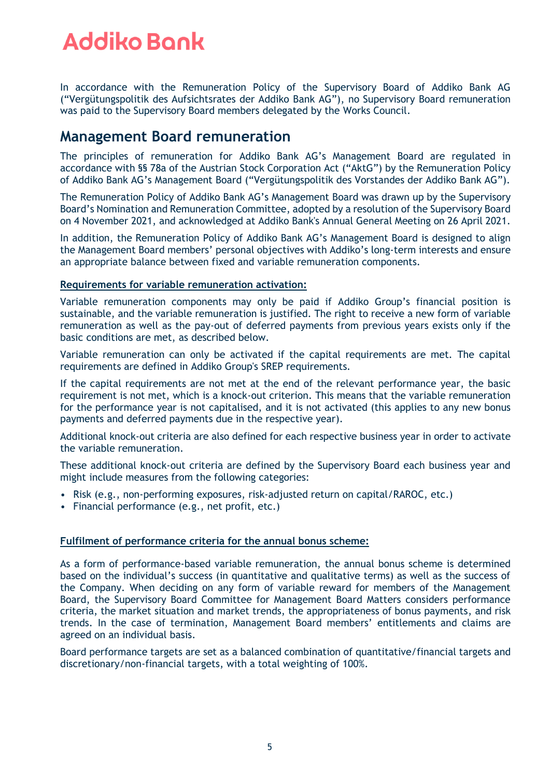In accordance with the Remuneration Policy of the Supervisory Board of Addiko Bank AG ("Vergütungspolitik des Aufsichtsrates der Addiko Bank AG"), no Supervisory Board remuneration was paid to the Supervisory Board members delegated by the Works Council.

### **Management Board remuneration**

The principles of remuneration for Addiko Bank AG's Management Board are regulated in accordance with §§ 78a of the Austrian Stock Corporation Act ("AktG") by the Remuneration Policy of Addiko Bank AG's Management Board ("Vergütungspolitik des Vorstandes der Addiko Bank AG").

The Remuneration Policy of Addiko Bank AG's Management Board was drawn up by the Supervisory Board's Nomination and Remuneration Committee, adopted by a resolution of the Supervisory Board on 4 November 2021, and acknowledged at Addiko Bank's Annual General Meeting on 26 April 2021.

In addition, the Remuneration Policy of Addiko Bank AG's Management Board is designed to align the Management Board members' personal objectives with Addiko's long-term interests and ensure an appropriate balance between fixed and variable remuneration components.

#### **Requirements for variable remuneration activation:**

Variable remuneration components may only be paid if Addiko Group's financial position is sustainable, and the variable remuneration is justified. The right to receive a new form of variable remuneration as well as the pay-out of deferred payments from previous years exists only if the basic conditions are met, as described below.

Variable remuneration can only be activated if the capital requirements are met. The capital requirements are defined in Addiko Group's SREP requirements.

If the capital requirements are not met at the end of the relevant performance year, the basic requirement is not met, which is a knock-out criterion. This means that the variable remuneration for the performance year is not capitalised, and it is not activated (this applies to any new bonus payments and deferred payments due in the respective year).

Additional knock-out criteria are also defined for each respective business year in order to activate the variable remuneration.

These additional knock-out criteria are defined by the Supervisory Board each business year and might include measures from the following categories:

- Risk (e.g., non-performing exposures, risk-adjusted return on capital/RAROC, etc.)
- Financial performance (e.g., net profit, etc.)

#### **Fulfilment of performance criteria for the annual bonus scheme:**

As a form of performance-based variable remuneration, the annual bonus scheme is determined based on the individual's success (in quantitative and qualitative terms) as well as the success of the Company. When deciding on any form of variable reward for members of the Management Board, the Supervisory Board Committee for Management Board Matters considers performance criteria, the market situation and market trends, the appropriateness of bonus payments, and risk trends. In the case of termination, Management Board members' entitlements and claims are agreed on an individual basis.

Board performance targets are set as a balanced combination of quantitative/financial targets and discretionary/non-financial targets, with a total weighting of 100%.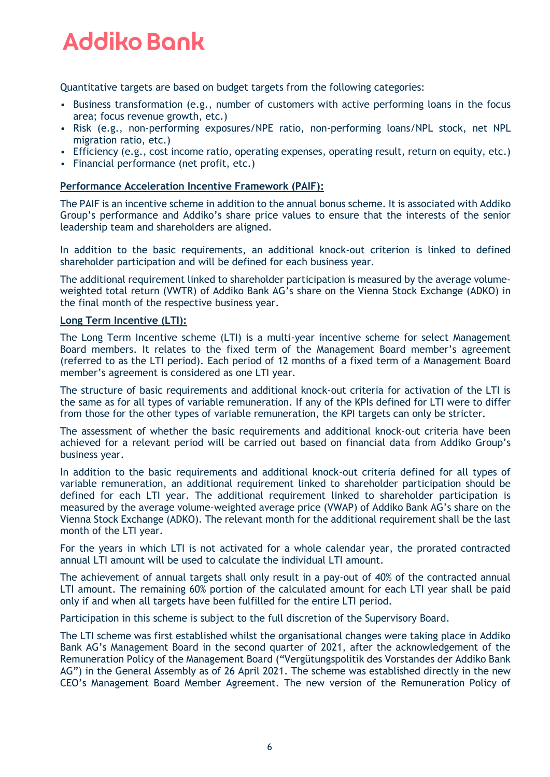Quantitative targets are based on budget targets from the following categories:

- Business transformation (e.g., number of customers with active performing loans in the focus area; focus revenue growth, etc.)
- Risk (e.g., non-performing exposures/NPE ratio, non-performing loans/NPL stock, net NPL migration ratio, etc.)
- Efficiency (e.g., cost income ratio, operating expenses, operating result, return on equity, etc.)
- Financial performance (net profit, etc.)

#### **Performance Acceleration Incentive Framework (PAIF):**

The PAIF is an incentive scheme in addition to the annual bonus scheme. It is associated with Addiko Group's performance and Addiko's share price values to ensure that the interests of the senior leadership team and shareholders are aligned.

In addition to the basic requirements, an additional knock-out criterion is linked to defined shareholder participation and will be defined for each business year.

The additional requirement linked to shareholder participation is measured by the average volumeweighted total return (VWTR) of Addiko Bank AG's share on the Vienna Stock Exchange (ADKO) in the final month of the respective business year.

#### **Long Term Incentive (LTI):**

The Long Term Incentive scheme (LTI) is a multi-year incentive scheme for select Management Board members. It relates to the fixed term of the Management Board member's agreement (referred to as the LTI period). Each period of 12 months of a fixed term of a Management Board member's agreement is considered as one LTI year.

The structure of basic requirements and additional knock-out criteria for activation of the LTI is the same as for all types of variable remuneration. If any of the KPIs defined for LTI were to differ from those for the other types of variable remuneration, the KPI targets can only be stricter.

The assessment of whether the basic requirements and additional knock-out criteria have been achieved for a relevant period will be carried out based on financial data from Addiko Group's business year.

In addition to the basic requirements and additional knock-out criteria defined for all types of variable remuneration, an additional requirement linked to shareholder participation should be defined for each LTI year. The additional requirement linked to shareholder participation is measured by the average volume-weighted average price (VWAP) of Addiko Bank AG's share on the Vienna Stock Exchange (ADKO). The relevant month for the additional requirement shall be the last month of the LTI year.

For the years in which LTI is not activated for a whole calendar year, the prorated contracted annual LTI amount will be used to calculate the individual LTI amount.

The achievement of annual targets shall only result in a pay-out of 40% of the contracted annual LTI amount. The remaining 60% portion of the calculated amount for each LTI year shall be paid only if and when all targets have been fulfilled for the entire LTI period.

Participation in this scheme is subject to the full discretion of the Supervisory Board.

The LTI scheme was first established whilst the organisational changes were taking place in Addiko Bank AG's Management Board in the second quarter of 2021, after the acknowledgement of the Remuneration Policy of the Management Board ("Vergütungspolitik des Vorstandes der Addiko Bank AG") in the General Assembly as of 26 April 2021. The scheme was established directly in the new CEO's Management Board Member Agreement. The new version of the Remuneration Policy of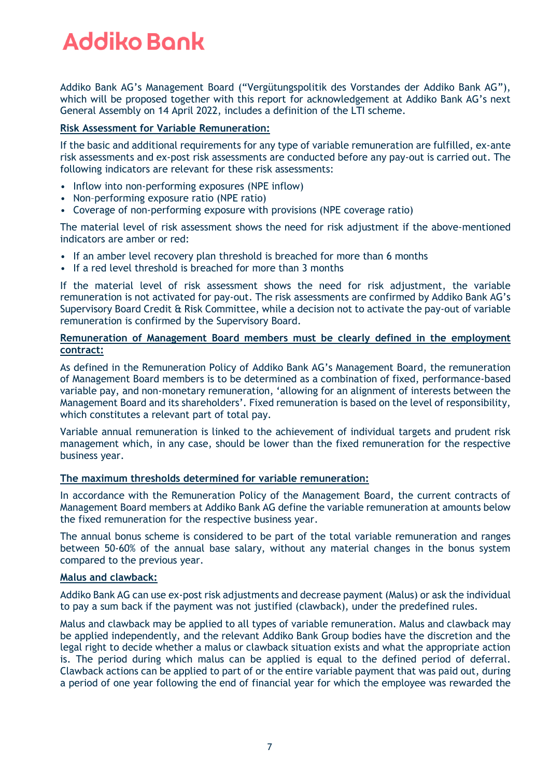Addiko Bank AG's Management Board ("Vergütungspolitik des Vorstandes der Addiko Bank AG"), which will be proposed together with this report for acknowledgement at Addiko Bank AG's next General Assembly on 14 April 2022, includes a definition of the LTI scheme.

#### **Risk Assessment for Variable Remuneration:**

If the basic and additional requirements for any type of variable remuneration are fulfilled, ex-ante risk assessments and ex-post risk assessments are conducted before any pay-out is carried out. The following indicators are relevant for these risk assessments:

- Inflow into non-performing exposures (NPE inflow)
- Non–performing exposure ratio (NPE ratio)
- Coverage of non-performing exposure with provisions (NPE coverage ratio)

The material level of risk assessment shows the need for risk adjustment if the above-mentioned indicators are amber or red:

- If an amber level recovery plan threshold is breached for more than 6 months
- If a red level threshold is breached for more than 3 months

If the material level of risk assessment shows the need for risk adjustment, the variable remuneration is not activated for pay-out. The risk assessments are confirmed by Addiko Bank AG's Supervisory Board Credit & Risk Committee, while a decision not to activate the pay-out of variable remuneration is confirmed by the Supervisory Board.

#### **Remuneration of Management Board members must be clearly defined in the employment contract:**

As defined in the Remuneration Policy of Addiko Bank AG's Management Board, the remuneration of Management Board members is to be determined as a combination of fixed, performance-based variable pay, and non-monetary remuneration, 'allowing for an alignment of interests between the Management Board and its shareholders'. Fixed remuneration is based on the level of responsibility, which constitutes a relevant part of total pay.

Variable annual remuneration is linked to the achievement of individual targets and prudent risk management which, in any case, should be lower than the fixed remuneration for the respective business year.

#### **The maximum thresholds determined for variable remuneration:**

In accordance with the Remuneration Policy of the Management Board, the current contracts of Management Board members at Addiko Bank AG define the variable remuneration at amounts below the fixed remuneration for the respective business year.

The annual bonus scheme is considered to be part of the total variable remuneration and ranges between 50-60% of the annual base salary, without any material changes in the bonus system compared to the previous year.

#### **Malus and clawback:**

Addiko Bank AG can use ex-post risk adjustments and decrease payment (Malus) or ask the individual to pay a sum back if the payment was not justified (clawback), under the predefined rules.

Malus and clawback may be applied to all types of variable remuneration. Malus and clawback may be applied independently, and the relevant Addiko Bank Group bodies have the discretion and the legal right to decide whether a malus or clawback situation exists and what the appropriate action is. The period during which malus can be applied is equal to the defined period of deferral. Clawback actions can be applied to part of or the entire variable payment that was paid out, during a period of one year following the end of financial year for which the employee was rewarded the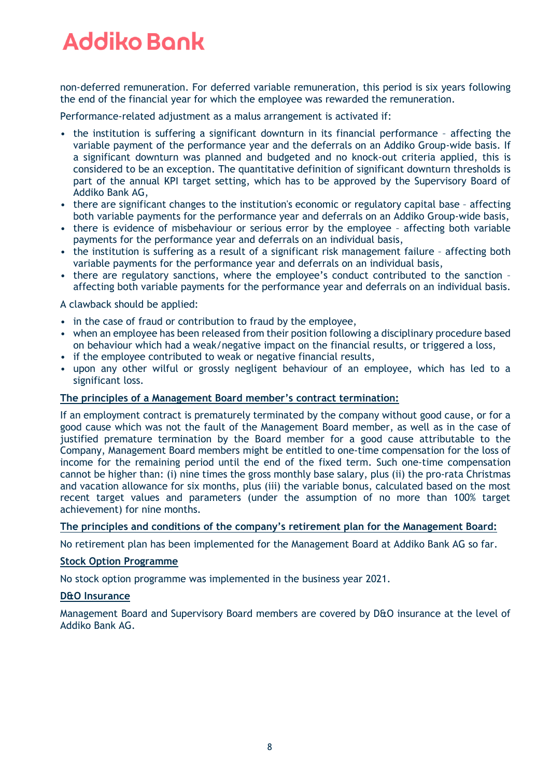non-deferred remuneration. For deferred variable remuneration, this period is six years following the end of the financial year for which the employee was rewarded the remuneration.

Performance-related adjustment as a malus arrangement is activated if:

- the institution is suffering a significant downturn in its financial performance affecting the variable payment of the performance year and the deferrals on an Addiko Group-wide basis. If a significant downturn was planned and budgeted and no knock-out criteria applied, this is considered to be an exception. The quantitative definition of significant downturn thresholds is part of the annual KPI target setting, which has to be approved by the Supervisory Board of Addiko Bank AG,
- there are significant changes to the institution's economic or regulatory capital base affecting both variable payments for the performance year and deferrals on an Addiko Group-wide basis,
- there is evidence of misbehaviour or serious error by the employee affecting both variable payments for the performance year and deferrals on an individual basis,
- the institution is suffering as a result of a significant risk management failure affecting both variable payments for the performance year and deferrals on an individual basis,
- there are regulatory sanctions, where the employee's conduct contributed to the sanction affecting both variable payments for the performance year and deferrals on an individual basis.

A clawback should be applied:

- in the case of fraud or contribution to fraud by the employee,
- when an employee has been released from their position following a disciplinary procedure based on behaviour which had a weak/negative impact on the financial results, or triggered a loss,
- if the employee contributed to weak or negative financial results,
- upon any other wilful or grossly negligent behaviour of an employee, which has led to a significant loss.

#### **The principles of a Management Board member's contract termination:**

If an employment contract is prematurely terminated by the company without good cause, or for a good cause which was not the fault of the Management Board member, as well as in the case of justified premature termination by the Board member for a good cause attributable to the Company, Management Board members might be entitled to one-time compensation for the loss of income for the remaining period until the end of the fixed term. Such one-time compensation cannot be higher than: (i) nine times the gross monthly base salary, plus (ii) the pro-rata Christmas and vacation allowance for six months, plus (iii) the variable bonus, calculated based on the most recent target values and parameters (under the assumption of no more than 100% target achievement) for nine months.

#### **The principles and conditions of the company's retirement plan for the Management Board:**

No retirement plan has been implemented for the Management Board at Addiko Bank AG so far.

#### **Stock Option Programme**

No stock option programme was implemented in the business year 2021.

#### **D&O Insurance**

Management Board and Supervisory Board members are covered by D&O insurance at the level of Addiko Bank AG.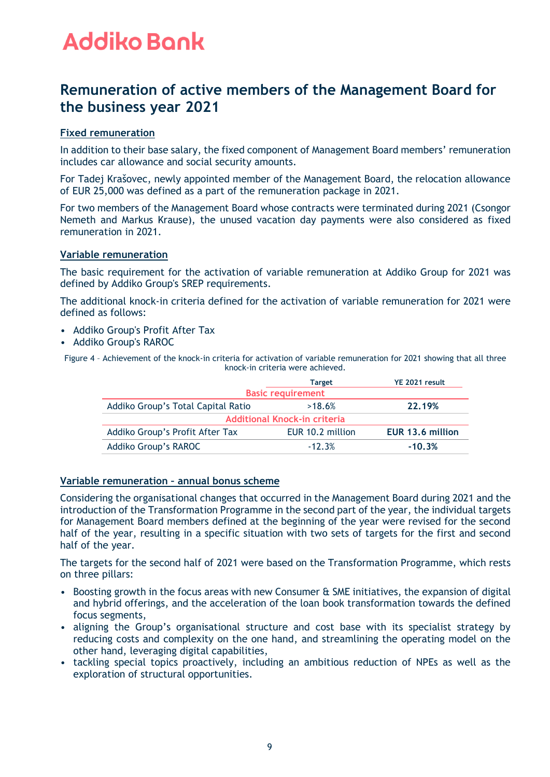### **Remuneration of active members of the Management Board for the business year 2021**

#### **Fixed remuneration**

In addition to their base salary, the fixed component of Management Board members' remuneration includes car allowance and social security amounts.

For Tadej Krašovec, newly appointed member of the Management Board, the relocation allowance of EUR 25,000 was defined as a part of the remuneration package in 2021.

For two members of the Management Board whose contracts were terminated during 2021 (Csongor Nemeth and Markus Krause), the unused vacation day payments were also considered as fixed remuneration in 2021.

#### **Variable remuneration**

The basic requirement for the activation of variable remuneration at Addiko Group for 2021 was defined by Addiko Group's SREP requirements.

The additional knock-in criteria defined for the activation of variable remuneration for 2021 were defined as follows:

- Addiko Group's Profit After Tax
- Addiko Group's RAROC

Figure 4 – Achievement of the knock-in criteria for activation of variable remuneration for 2021 showing that all three knock-in criteria were achieved.

|                                    | <b>Target</b>            | YE 2021 result   |  |
|------------------------------------|--------------------------|------------------|--|
|                                    | <b>Basic requirement</b> |                  |  |
| Addiko Group's Total Capital Ratio | >18.6%                   | 22.19%           |  |
| Additional Knock-in criteria       |                          |                  |  |
| Addiko Group's Profit After Tax    | EUR 10.2 million         | EUR 13.6 million |  |
| Addiko Group's RAROC               | $-12.3%$                 | $-10.3%$         |  |

#### **Variable remuneration – annual bonus scheme**

Considering the organisational changes that occurred in the Management Board during 2021 and the introduction of the Transformation Programme in the second part of the year, the individual targets for Management Board members defined at the beginning of the year were revised for the second half of the year, resulting in a specific situation with two sets of targets for the first and second half of the year.

The targets for the second half of 2021 were based on the Transformation Programme, which rests on three pillars:

- Boosting growth in the focus areas with new Consumer & SME initiatives, the expansion of digital and hybrid offerings, and the acceleration of the loan book transformation towards the defined focus segments,
- aligning the Group's organisational structure and cost base with its specialist strategy by reducing costs and complexity on the one hand, and streamlining the operating model on the other hand, leveraging digital capabilities,
- tackling special topics proactively, including an ambitious reduction of NPEs as well as the exploration of structural opportunities.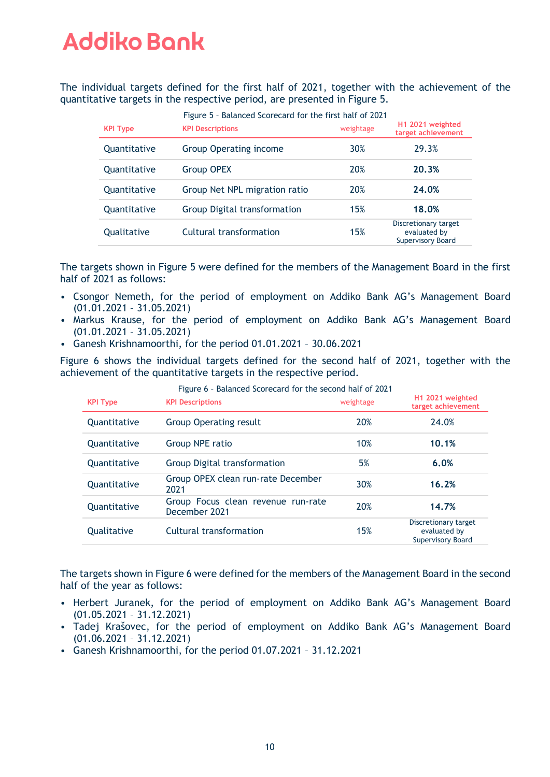The individual targets defined for the first half of 2021, together with the achievement of the quantitative targets in the respective period, are presented in Figure 5.

| <b>KPI Type</b> | Theory - Datancea Scorecard for the first nation 2021<br><b>KPI Descriptions</b> | weightage | H <sub>1</sub> 2021 weighted<br>target achievement        |
|-----------------|----------------------------------------------------------------------------------|-----------|-----------------------------------------------------------|
| Quantitative    | <b>Group Operating income</b>                                                    | 30%       | 29.3%                                                     |
| Quantitative    | <b>Group OPEX</b>                                                                | 20%       | 20.3%                                                     |
| Quantitative    | Group Net NPL migration ratio                                                    | 20%       | 24.0%                                                     |
| Quantitative    | Group Digital transformation                                                     | 15%       | 18.0%                                                     |
| Qualitative     | Cultural transformation                                                          | 15%       | Discretionary target<br>evaluated by<br>Supervisory Board |

Figure 5 – Balanced Scorecard for the first half of 2021

The targets shown in Figure 5 were defined for the members of the Management Board in the first half of 2021 as follows:

- Csongor Nemeth, for the period of employment on Addiko Bank AG's Management Board (01.01.2021 – 31.05.2021)
- Markus Krause, for the period of employment on Addiko Bank AG's Management Board (01.01.2021 – 31.05.2021)
- Ganesh Krishnamoorthi, for the period 01.01.2021 30.06.2021

Figure 6 shows the individual targets defined for the second half of 2021, together with the achievement of the quantitative targets in the respective period.

| <b>KPI Type</b>     | <b>KPI Descriptions</b>                             | weightage | H <sub>1</sub> 2021 weighted<br>target achievement               |
|---------------------|-----------------------------------------------------|-----------|------------------------------------------------------------------|
| Quantitative        | <b>Group Operating result</b>                       | 20%       | 24.0%                                                            |
| Quantitative        | Group NPE ratio                                     | 10%       | 10.1%                                                            |
| <b>Ouantitative</b> | Group Digital transformation                        | 5%        | 6.0%                                                             |
| Quantitative        | Group OPEX clean run-rate December<br>2021          | 30%       | 16.2%                                                            |
| Quantitative        | Group Focus clean revenue run-rate<br>December 2021 | 20%       | 14.7%                                                            |
| Qualitative         | Cultural transformation                             | 15%       | Discretionary target<br>evaluated by<br><b>Supervisory Board</b> |

Figure 6 – Balanced Scorecard for the second half of 2021

The targets shown in Figure 6 were defined for the members of the Management Board in the second half of the year as follows:

- Herbert Juranek, for the period of employment on Addiko Bank AG's Management Board (01.05.2021 – 31.12.2021)
- Tadej Krašovec, for the period of employment on Addiko Bank AG's Management Board (01.06.2021 – 31.12.2021)
- Ganesh Krishnamoorthi, for the period 01.07.2021 31.12.2021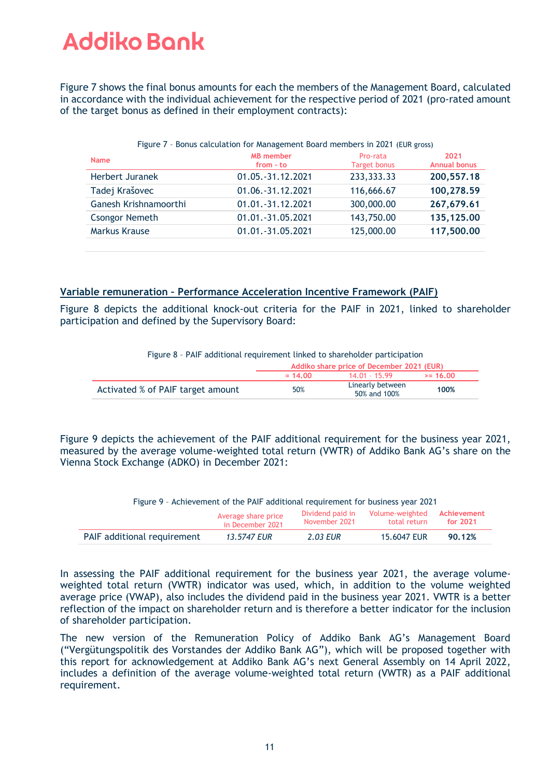Figure 7 shows the final bonus amounts for each the members of the Management Board, calculated in accordance with the individual achievement for the respective period of 2021 (pro-rated amount of the target bonus as defined in their employment contracts):

| Figure 7 - Bonus calculation for Management Board members in 2021 (EUR gross) |                               |                                 |                             |
|-------------------------------------------------------------------------------|-------------------------------|---------------------------------|-----------------------------|
| <b>Name</b>                                                                   | <b>MB</b> member<br>from - to | Pro-rata<br><b>Target bonus</b> | 2021<br><b>Annual bonus</b> |
| Herbert Juranek                                                               | 01.05. - 31.12.2021           | 233, 333. 33                    | 200, 557. 18                |
| Tadej Krašovec                                                                | 01.06. - 31.12.2021           | 116,666.67                      | 100,278.59                  |
| Ganesh Krishnamoorthi                                                         | 01.01.-31.12.2021             | 300,000.00                      | 267,679.61                  |
| <b>Csongor Nemeth</b>                                                         | 01.01.-31.05.2021             | 143,750.00                      | 135,125.00                  |
| Markus Krause                                                                 | 01.01.-31.05.2021             | 125,000.00                      | 117,500.00                  |
|                                                                               |                               |                                 |                             |

#### **Variable remuneration – Performance Acceleration Incentive Framework (PAIF)**

Figure 8 depicts the additional knock-out criteria for the PAIF in 2021, linked to shareholder participation and defined by the Supervisory Board:

| Figure 8 - PAIF additional requirement linked to shareholder participation |  |  |  |
|----------------------------------------------------------------------------|--|--|--|
|                                                                            |  |  |  |

|                                   | Addiko share price of December 2021 (EUR) |                                  |            |
|-----------------------------------|-------------------------------------------|----------------------------------|------------|
|                                   | $= 14.00$                                 | $14.01 - 15.99$                  | $>= 16.00$ |
| Activated % of PAIF target amount | 50%                                       | Linearly between<br>50% and 100% | 100%       |

Figure 9 depicts the achievement of the PAIF additional requirement for the business year 2021, measured by the average volume-weighted total return (VWTR) of Addiko Bank AG's share on the Vienna Stock Exchange (ADKO) in December 2021:

| Figure 9 - Achievement of the PAIF additional requirement for business year 2021                                                             |             |          |             |        |
|----------------------------------------------------------------------------------------------------------------------------------------------|-------------|----------|-------------|--------|
| Volume-weighted<br>Dividend paid in<br>Achievement<br>Average share price<br>November 2021<br>total return<br>for $2021$<br>in December 2021 |             |          |             |        |
| PAIF additional requirement                                                                                                                  | 13.5747 EUR | 2.03 EUR | 15,6047 EUR | 90.12% |

In assessing the PAIF additional requirement for the business year 2021, the average volumeweighted total return (VWTR) indicator was used, which, in addition to the volume weighted average price (VWAP), also includes the dividend paid in the business year 2021. VWTR is a better reflection of the impact on shareholder return and is therefore a better indicator for the inclusion of shareholder participation.

The new version of the Remuneration Policy of Addiko Bank AG's Management Board ("Vergütungspolitik des Vorstandes der Addiko Bank AG"), which will be proposed together with this report for acknowledgement at Addiko Bank AG's next General Assembly on 14 April 2022, includes a definition of the average volume-weighted total return (VWTR) as a PAIF additional requirement.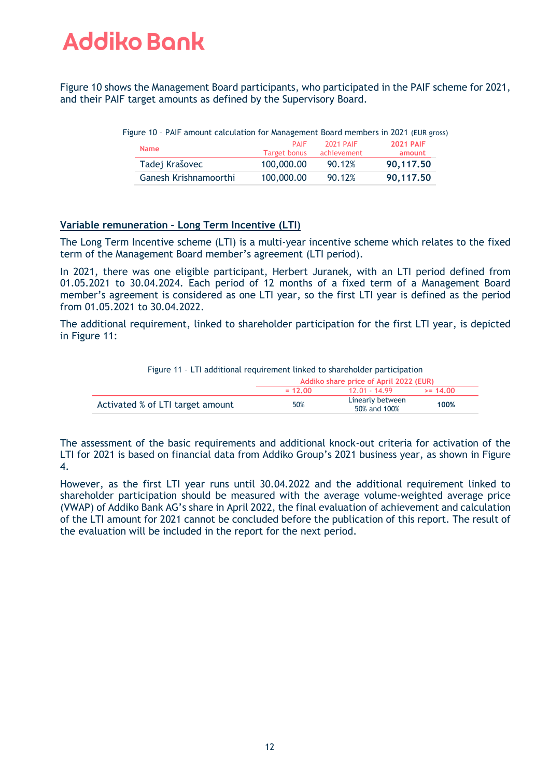Figure 10 shows the Management Board participants, who participated in the PAIF scheme for 2021, and their PAIF target amounts as defined by the Supervisory Board.

| ישו כדוסו דומו ומחוסטות כטמכטממנוסו וסו וושחטקכוווכחת בסטמו ט וווכחוגסיוס ווו בסבד ובסוג קוסט |                             |                                 |                            |
|-----------------------------------------------------------------------------------------------|-----------------------------|---------------------------------|----------------------------|
| <b>Name</b>                                                                                   | <b>PAIF</b><br>Target bonus | <b>2021 PAIF</b><br>achievement | <b>2021 PAIF</b><br>amount |
| Tadej Krašovec                                                                                | 100,000.00                  | 90.12%                          | 90,117.50                  |
| Ganesh Krishnamoorthi                                                                         | 100,000.00                  | 90.12%                          | 90,117.50                  |

Figure 10 – PAIF amount calculation for Management Board members in 2021 (EUR gross)

#### **Variable remuneration – Long Term Incentive (LTI)**

The Long Term Incentive scheme (LTI) is a multi-year incentive scheme which relates to the fixed term of the Management Board member's agreement (LTI period).

In 2021, there was one eligible participant, Herbert Juranek, with an LTI period defined from 01.05.2021 to 30.04.2024. Each period of 12 months of a fixed term of a Management Board member's agreement is considered as one LTI year, so the first LTI year is defined as the period from 01.05.2021 to 30.04.2022.

The additional requirement, linked to shareholder participation for the first LTI year, is depicted in Figure 11:

|                                  | Addiko share price of April 2022 (EUR) |                                  |            |
|----------------------------------|----------------------------------------|----------------------------------|------------|
|                                  | $= 12.00$                              | 12 01 - 14 99                    | $>= 14.00$ |
| Activated % of LTI target amount | 50%                                    | Linearly between<br>50% and 100% | 100%       |

Figure 11 – LTI additional requirement linked to shareholder participation

The assessment of the basic requirements and additional knock-out criteria for activation of the LTI for 2021 is based on financial data from Addiko Group's 2021 business year, as shown in Figure 4.

However, as the first LTI year runs until 30.04.2022 and the additional requirement linked to shareholder participation should be measured with the average volume-weighted average price (VWAP) of Addiko Bank AG's share in April 2022, the final evaluation of achievement and calculation of the LTI amount for 2021 cannot be concluded before the publication of this report. The result of the evaluation will be included in the report for the next period.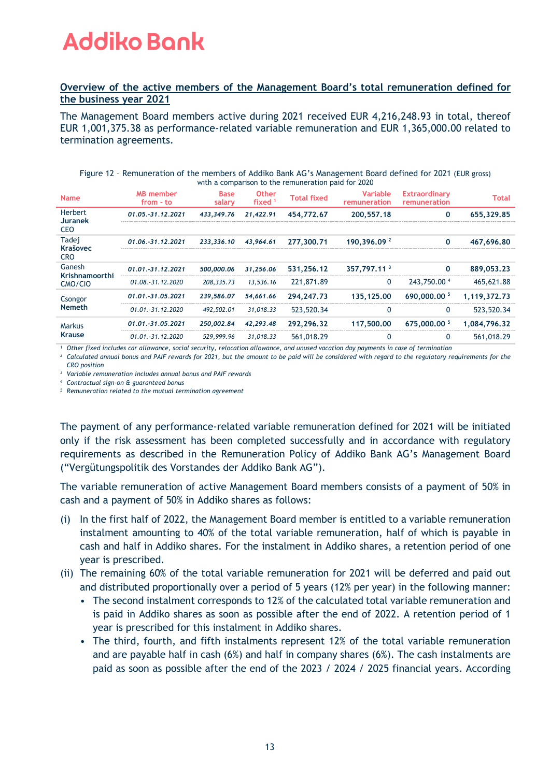#### **Overview of the active members of the Management Board's total remuneration defined for the business year 2021**

The Management Board members active during 2021 received EUR 4,216,248.93 in total, thereof EUR 1,001,375.38 as performance-related variable remuneration and EUR 1,365,000.00 related to termination agreements.

| Figure 12 - Remuneration of the members of Addiko Bank AG's Management Board defined for 2021 (EUR gross) |      |                 |  |                        |  |  |
|-----------------------------------------------------------------------------------------------------------|------|-----------------|--|------------------------|--|--|
| with a comparison to the remuneration paid for 2020                                                       |      |                 |  |                        |  |  |
| ALR mombor                                                                                                | Raco | 0 <sup>th</sup> |  | Variable Extraordinary |  |  |

| <b>Name</b>                             | <b>MB</b> member<br>from - to | <b>Base</b><br>salary | <b>Other</b><br>fixed <sup>1</sup> | <b>Total fixed</b> | <b>Variable</b><br>remuneration | <b>Extraordinary</b><br>remuneration | Total        |
|-----------------------------------------|-------------------------------|-----------------------|------------------------------------|--------------------|---------------------------------|--------------------------------------|--------------|
| Herbert<br><b>Juranek</b><br><b>CEO</b> | 01.05.-31.12.2021             | 433,349.76            | 21,422.91                          | 454,772.67         | 200, 557, 18                    | 0                                    | 655.329.85   |
| Tadej<br><b>Krašovec</b><br><b>CRO</b>  | 01.06.-31.12.2021             | 233,336.10            | 43.964.61                          | 277,300.71         | 190.396.09 <sup>2</sup>         | O                                    | 467.696.80   |
| Ganesh                                  | $01.01.-31.12.2021$           | 500,000.06            | 31,256.06                          | 531.256.12         | 357.797.11 3                    | 0                                    | 889.053.23   |
| Krishnamoorthi<br>CMO/CIO               | $01.08.-31.12.2020$           | 208, 335, 73          | 13,536,16                          | 221,871.89         | $\mathbf{0}$                    | 243.750.00 4                         | 465,621.88   |
| Csongor                                 | 01.01.-31.05.2021             | 239.586.07            | 54,661.66                          | 294.247.73         | 135.125.00                      | 690,000,00 5                         | 1.119.372.73 |
| <b>Nemeth</b>                           | $01.01.-31.12.2020$           | 492,502.01            | 31.018.33                          | 523,520.34         | 0                               | 0                                    | 523,520.34   |
| <b>Markus</b>                           | 01.01.-31.05.2021             | 250,002.84            | 42.293.48                          | 292.296.32         | 117,500.00                      | 675,000,00 5                         | 1.084.796.32 |
| <b>Krause</b>                           | $01.01.-31.12.2020$           | 529,999.96            | 31.018.33                          | 561,018.29         |                                 | 0                                    | 561,018.29   |

*<sup>1</sup> Other fixed includes car allowance, social security, relocation allowance, and unused vacation day payments in case of termination*

*<sup>2</sup> Calculated annual bonus and PAIF rewards for 2021, but the amount to be paid will be considered with regard to the regulatory requirements for the CRO position*

*<sup>3</sup> Variable remuneration includes annual bonus and PAIF rewards*

*<sup>4</sup> Contractual sign-on & guaranteed bonus*

*<sup>5</sup> Remuneration related to the mutual termination agreement*

The payment of any performance-related variable remuneration defined for 2021 will be initiated only if the risk assessment has been completed successfully and in accordance with regulatory requirements as described in the Remuneration Policy of Addiko Bank AG's Management Board ("Vergütungspolitik des Vorstandes der Addiko Bank AG").

The variable remuneration of active Management Board members consists of a payment of 50% in cash and a payment of 50% in Addiko shares as follows:

- (i) In the first half of 2022, the Management Board member is entitled to a variable remuneration instalment amounting to 40% of the total variable remuneration, half of which is payable in cash and half in Addiko shares. For the instalment in Addiko shares, a retention period of one year is prescribed.
- (ii) The remaining 60% of the total variable remuneration for 2021 will be deferred and paid out and distributed proportionally over a period of 5 years (12% per year) in the following manner:
	- The second instalment corresponds to 12% of the calculated total variable remuneration and is paid in Addiko shares as soon as possible after the end of 2022. A retention period of 1 year is prescribed for this instalment in Addiko shares.
	- The third, fourth, and fifth instalments represent 12% of the total variable remuneration and are payable half in cash (6%) and half in company shares (6%). The cash instalments are paid as soon as possible after the end of the 2023 / 2024 / 2025 financial years. According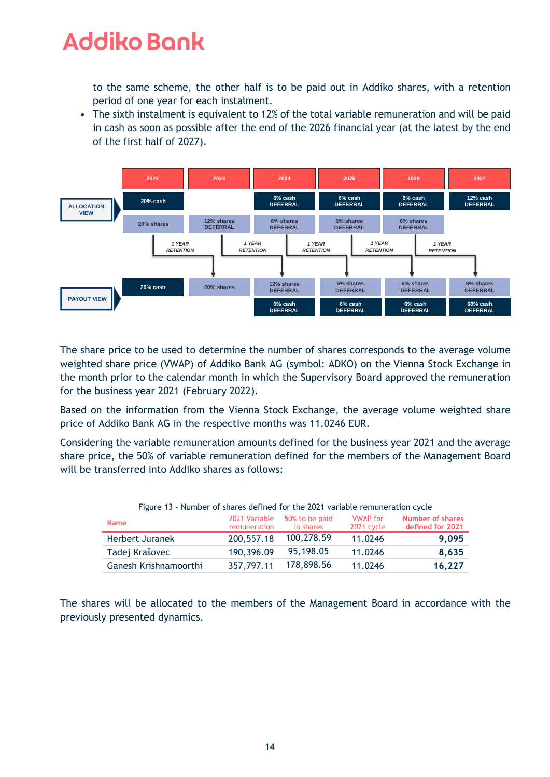to the same scheme, the other half is to be paid out in Addiko shares, with a retention period of one year for each instalment.

• The sixth instalment is equivalent to 12% of the total variable remuneration and will be paid in cash as soon as possible after the end of the 2026 financial year (at the latest by the end of the first half of 2027).



The share price to be used to determine the number of shares corresponds to the average volume weighted share price (VWAP) of Addiko Bank AG (symbol: ADKO) on the Vienna Stock Exchange in the month prior to the calendar month in which the Supervisory Board approved the remuneration for the business year 2021 (February 2022).

Based on the information from the Vienna Stock Exchange, the average volume weighted share price of Addiko Bank AG in the respective months was 11.0246 EUR.

Considering the variable remuneration amounts defined for the business year 2021 and the average share price, the 50% of variable remuneration defined for the members of the Management Board will be transferred into Addiko shares as follows:

| Figure 13 - Number of shares defined for the 2021 variable remuneration cycle |                               |                             |                                      |                                             |  |  |
|-------------------------------------------------------------------------------|-------------------------------|-----------------------------|--------------------------------------|---------------------------------------------|--|--|
| <b>Name</b>                                                                   | 2021 Variable<br>remuneration | 50% to be paid<br>in shares | <b>VWAP</b> for<br><b>2021 cycle</b> | <b>Number of shares</b><br>defined for 2021 |  |  |
| Herbert Juranek                                                               | 200,557.18                    | 100,278.59                  | 11.0246                              | 9.095                                       |  |  |
| Tadej Krašovec                                                                | 190,396.09                    | 95,198.05                   | 11.0246                              | 8,635                                       |  |  |
| Ganesh Krishnamoorthi                                                         | 357,797.11                    | 178,898.56                  | 11.0246                              | 16,227                                      |  |  |

Figure 13 – Number of shares defined for the 2021 variable remuneration cycle

The shares will be allocated to the members of the Management Board in accordance with the previously presented dynamics.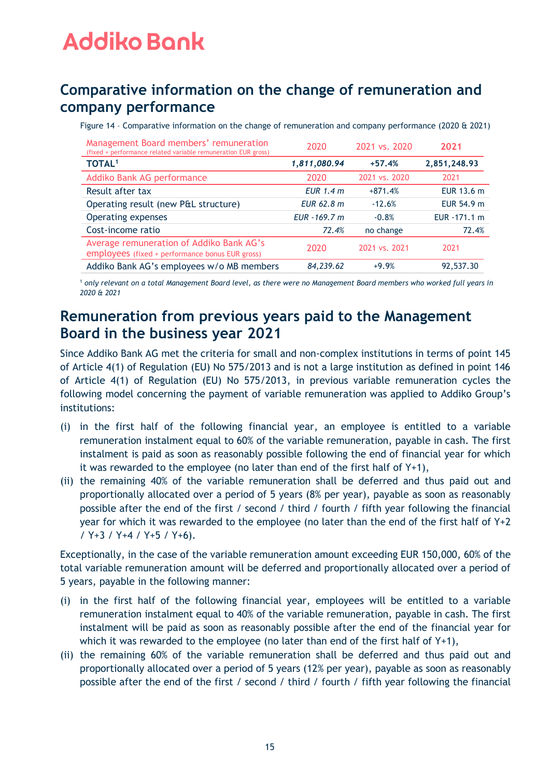### **Comparative information on the change of remuneration and company performance**

Figure 14 – Comparative information on the change of remuneration and company performance (2020 & 2021)

| Management Board members' remuneration<br>(fixed + performance related variable remuneration EUR gross) | 2020          | 2021 vs. 2020 | 2021          |
|---------------------------------------------------------------------------------------------------------|---------------|---------------|---------------|
| <b>TOTAL1</b>                                                                                           | 1,811,080.94  | $+57.4%$      | 2,851,248.93  |
| Addiko Bank AG performance                                                                              | 2020          | 2021 vs. 2020 | 2021          |
| Result after tax                                                                                        | EUR $1.4 m$   | $+871.4%$     | EUR 13.6 m    |
| Operating result (new P&L structure)                                                                    | EUR 62.8 m    | $-12.6%$      | EUR 54.9 m    |
| Operating expenses                                                                                      | EUR - 169.7 m | $-0.8%$       | EUR - 171.1 m |
| Cost-income ratio                                                                                       | 72.4%         | no change     | 72.4%         |
| Average remuneration of Addiko Bank AG's<br>employees (fixed + performance bonus EUR gross)             | 2020          | 2021 vs. 2021 | 2021          |
| Addiko Bank AG's employees w/o MB members                                                               | 84,239.62     | $+9.9%$       | 92,537.30     |

<sup>1</sup> *only relevant on a total Management Board level, as there were no Management Board members who worked full years in 2020 & 2021*

### **Remuneration from previous years paid to the Management Board in the business year 2021**

Since Addiko Bank AG met the criteria for small and non‐complex institutions in terms of point 145 of Article 4(1) of Regulation (EU) No 575/2013 and is not a large institution as defined in point 146 of Article 4(1) of Regulation (EU) No 575/2013, in previous variable remuneration cycles the following model concerning the payment of variable remuneration was applied to Addiko Group's institutions:

- (i) in the first half of the following financial year, an employee is entitled to a variable remuneration instalment equal to 60% of the variable remuneration, payable in cash. The first instalment is paid as soon as reasonably possible following the end of financial year for which it was rewarded to the employee (no later than end of the first half of Y+1),
- (ii) the remaining 40% of the variable remuneration shall be deferred and thus paid out and proportionally allocated over a period of 5 years (8% per year), payable as soon as reasonably possible after the end of the first / second / third / fourth / fifth year following the financial year for which it was rewarded to the employee (no later than the end of the first half of Y+2 / Y+3 / Y+4 / Y+5 / Y+6).

Exceptionally, in the case of the variable remuneration amount exceeding EUR 150,000, 60% of the total variable remuneration amount will be deferred and proportionally allocated over a period of 5 years, payable in the following manner:

- (i) in the first half of the following financial year, employees will be entitled to a variable remuneration instalment equal to 40% of the variable remuneration, payable in cash. The first instalment will be paid as soon as reasonably possible after the end of the financial year for which it was rewarded to the employee (no later than end of the first half of Y+1),
- (ii) the remaining 60% of the variable remuneration shall be deferred and thus paid out and proportionally allocated over a period of 5 years (12% per year), payable as soon as reasonably possible after the end of the first / second / third / fourth / fifth year following the financial